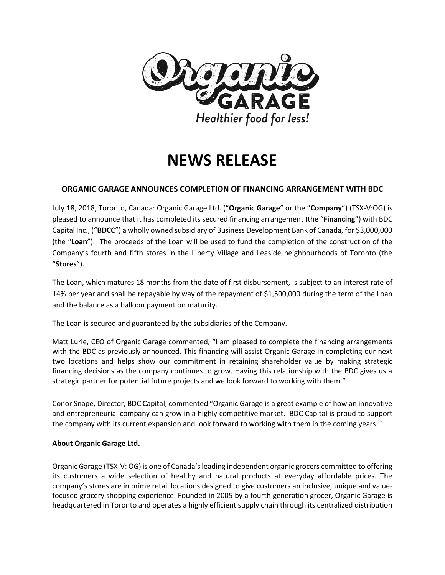

# **NEWS RELEASE**

## **ORGANIC GARAGE ANNOUNCES COMPLETION OF FINANCING ARRANGEMENT WITH BDC**

July 18, 2018, Toronto, Canada: Organic Garage Ltd. ("**Organic Garage**" or the "**Company**") (TSX-V:OG) is pleased to announce that it has completed its secured financing arrangement (the "**Financing**") with BDC Capital Inc., ("**BDCC**") a wholly owned subsidiary of Business Development Bank of Canada, for \$3,000,000 (the "**Loan**"). The proceeds of the Loan will be used to fund the completion of the construction of the Company's fourth and fifth stores in the Liberty Village and Leaside neighbourhoods of Toronto (the "**Stores**").

The Loan, which matures 18 months from the date of first disbursement, is subject to an interest rate of 14% per year and shall be repayable by way of the repayment of \$1,500,000 during the term of the Loan and the balance as a balloon payment on maturity.

The Loan is secured and guaranteed by the subsidiaries of the Company.

Matt Lurie, CEO of Organic Garage commented, "I am pleased to complete the financing arrangements with the BDC as previously announced. This financing will assist Organic Garage in completing our next two locations and helps show our commitment in retaining shareholder value by making strategic financing decisions as the company continues to grow. Having this relationship with the BDC gives us a strategic partner for potential future projects and we look forward to working with them."

Conor Snape, Director, BDC Capital, commented "Organic Garage is a great example of how an innovative and entrepreneurial company can grow in a highly competitive market. BDC Capital is proud to support the company with its current expansion and look forward to working with them in the coming years."

## **About Organic Garage Ltd.**

Organic Garage (TSX-V: OG) is one of Canada's leading independent organic grocers committed to offering its customers a wide selection of healthy and natural products at everyday affordable prices. The company's stores are in prime retail locations designed to give customers an inclusive, unique and valuefocused grocery shopping experience. Founded in 2005 by a fourth generation grocer, Organic Garage is headquartered in Toronto and operates a highly efficient supply chain through its centralized distribution